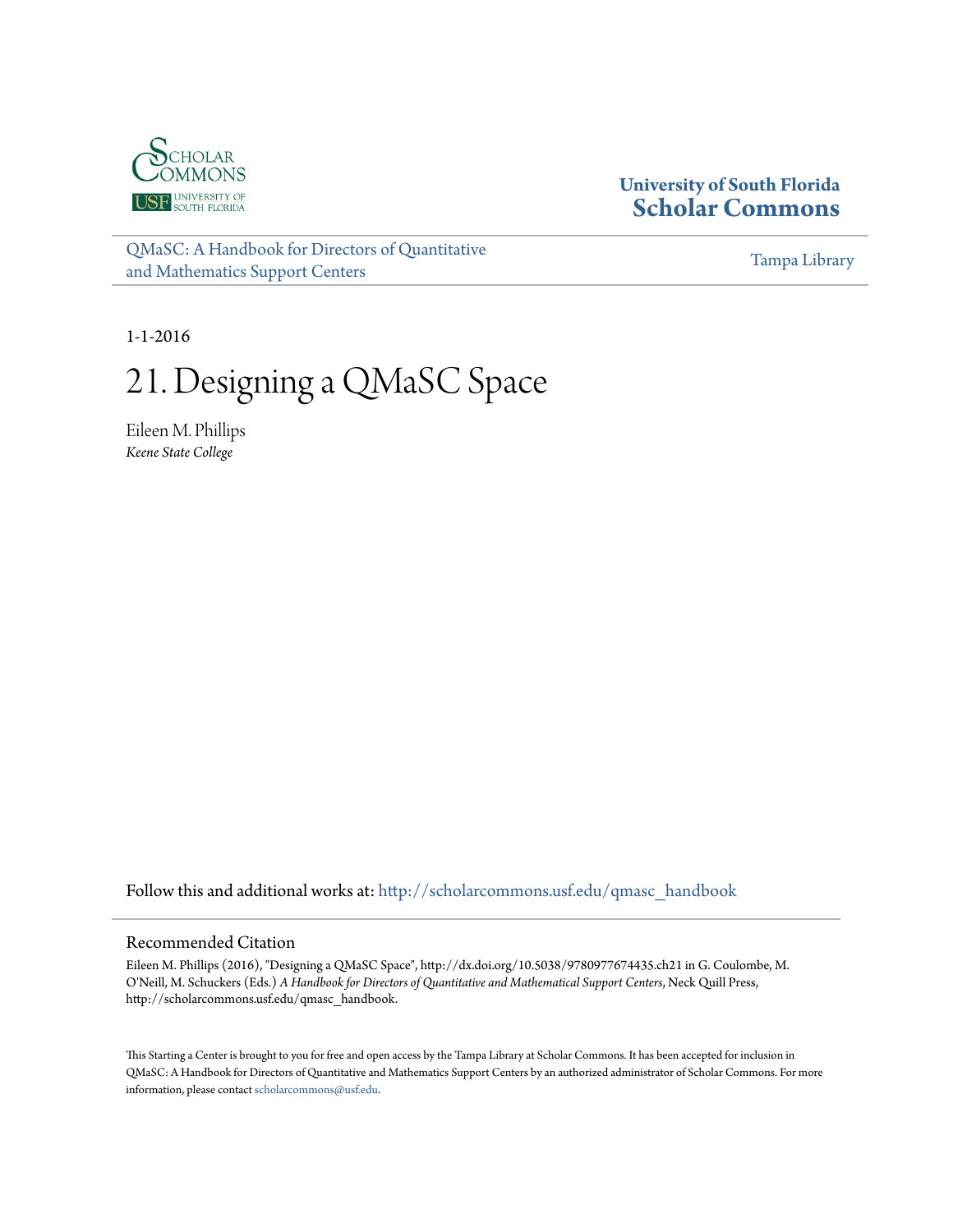

# **University of South Florida [Scholar Commons](http://scholarcommons.usf.edu?utm_source=scholarcommons.usf.edu%2Fqmasc_handbook%2F21&utm_medium=PDF&utm_campaign=PDFCoverPages)**

[QMaSC: A Handbook for Directors of Quantitative](http://scholarcommons.usf.edu/qmasc_handbook?utm_source=scholarcommons.usf.edu%2Fqmasc_handbook%2F21&utm_medium=PDF&utm_campaign=PDFCoverPages) [and Mathematics Support Centers](http://scholarcommons.usf.edu/qmasc_handbook?utm_source=scholarcommons.usf.edu%2Fqmasc_handbook%2F21&utm_medium=PDF&utm_campaign=PDFCoverPages)

[Tampa Library](http://scholarcommons.usf.edu/tlib?utm_source=scholarcommons.usf.edu%2Fqmasc_handbook%2F21&utm_medium=PDF&utm_campaign=PDFCoverPages)

1-1-2016

# 21. Designing a QMaSC Space

Eileen M. Phillips *Keene State College*

Follow this and additional works at: [http://scholarcommons.usf.edu/qmasc\\_handbook](http://scholarcommons.usf.edu/qmasc_handbook?utm_source=scholarcommons.usf.edu%2Fqmasc_handbook%2F21&utm_medium=PDF&utm_campaign=PDFCoverPages)

#### Recommended Citation

Eileen M. Phillips (2016), "Designing a QMaSC Space", http://dx.doi.org/10.5038/9780977674435.ch21 in G. Coulombe, M. O'Neill, M. Schuckers (Eds.) *A Handbook for Directors of Quantitative and Mathematical Support Centers*, Neck Quill Press, http://scholarcommons.usf.edu/qmasc\_handbook.

This Starting a Center is brought to you for free and open access by the Tampa Library at Scholar Commons. It has been accepted for inclusion in QMaSC: A Handbook for Directors of Quantitative and Mathematics Support Centers by an authorized administrator of Scholar Commons. For more information, please contact [scholarcommons@usf.edu.](mailto:scholarcommons@usf.edu)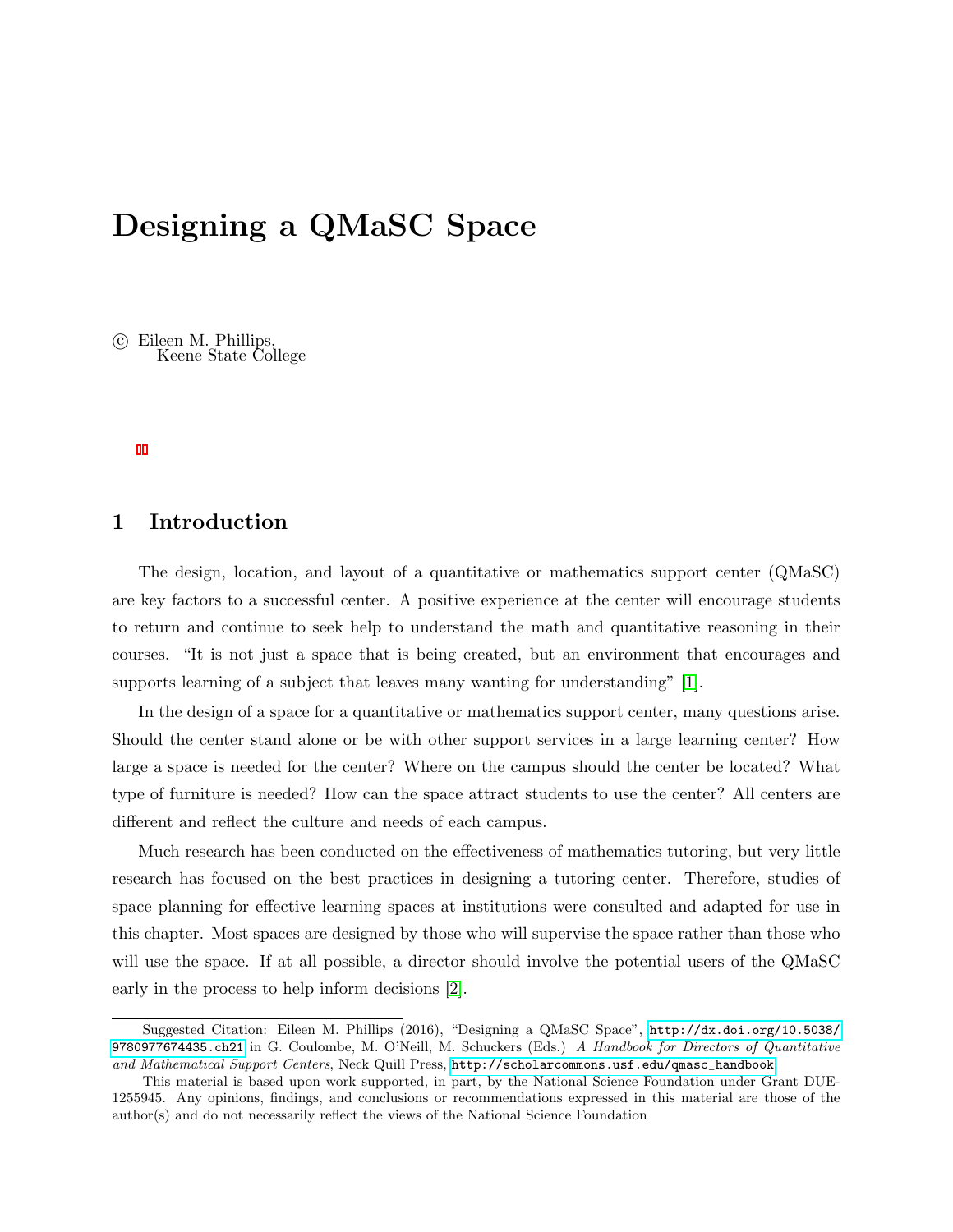# Designing a QMaSC Space

 c Eileen M. Phillips, Keene State College

## 1 Introduction

The design, location, and layout of a quantitative or mathematics support center (QMaSC) are key factors to a successful center. A positive experience at the center will encourage students to return and continue to seek help to understand the math and quantitative reasoning in their courses. "It is not just a space that is being created, but an environment that encourages and supports learning of a subject that leaves many wanting for understanding" [1].

In the design of a space for a quantitative or mathematics support center, many questions arise. Should the center stand alone or be with other support services in a large learning center? How large a space is needed for the center? Where on the campus should the center be located? What type of furniture is needed? How can the space attract students to use the center? All centers are different and reflect the culture and needs of each campus.

Much research has been conducted on the effectiveness of mathematics tutoring, but very little research has focused on the best practices in designing a tutoring center. Therefore, studies of space planning for effective learning spaces at institutions were consulted and adapted for use in this chapter. Most spaces are designed by those who will supervise the space rather than those who will use the space. If at all possible, a director should involve the potential users of the QMaSC early in the process to help inform decisions [2].

Suggested Citation: Eileen M. Phillips (2016), "Designing a QMaSC Space", [http://dx.doi.org/10.5038/](http://dx.doi.org/10.5038/9780977674435.ch21) [9780977674435.ch21](http://dx.doi.org/10.5038/9780977674435.ch21) in G. Coulombe, M. O'Neill, M. Schuckers (Eds.) A Handbook for Directors of Quantitative and Mathematical Support Centers, Neck Quill Press, [http://scholarcommons.usf.edu/qmasc\\_handbook](http://scholarcommons.usf.edu/qmasc_handbook).

This material is based upon work supported, in part, by the National Science Foundation under Grant DUE-1255945. Any opinions, findings, and conclusions or recommendations expressed in this material are those of the author(s) and do not necessarily reflect the views of the National Science Foundation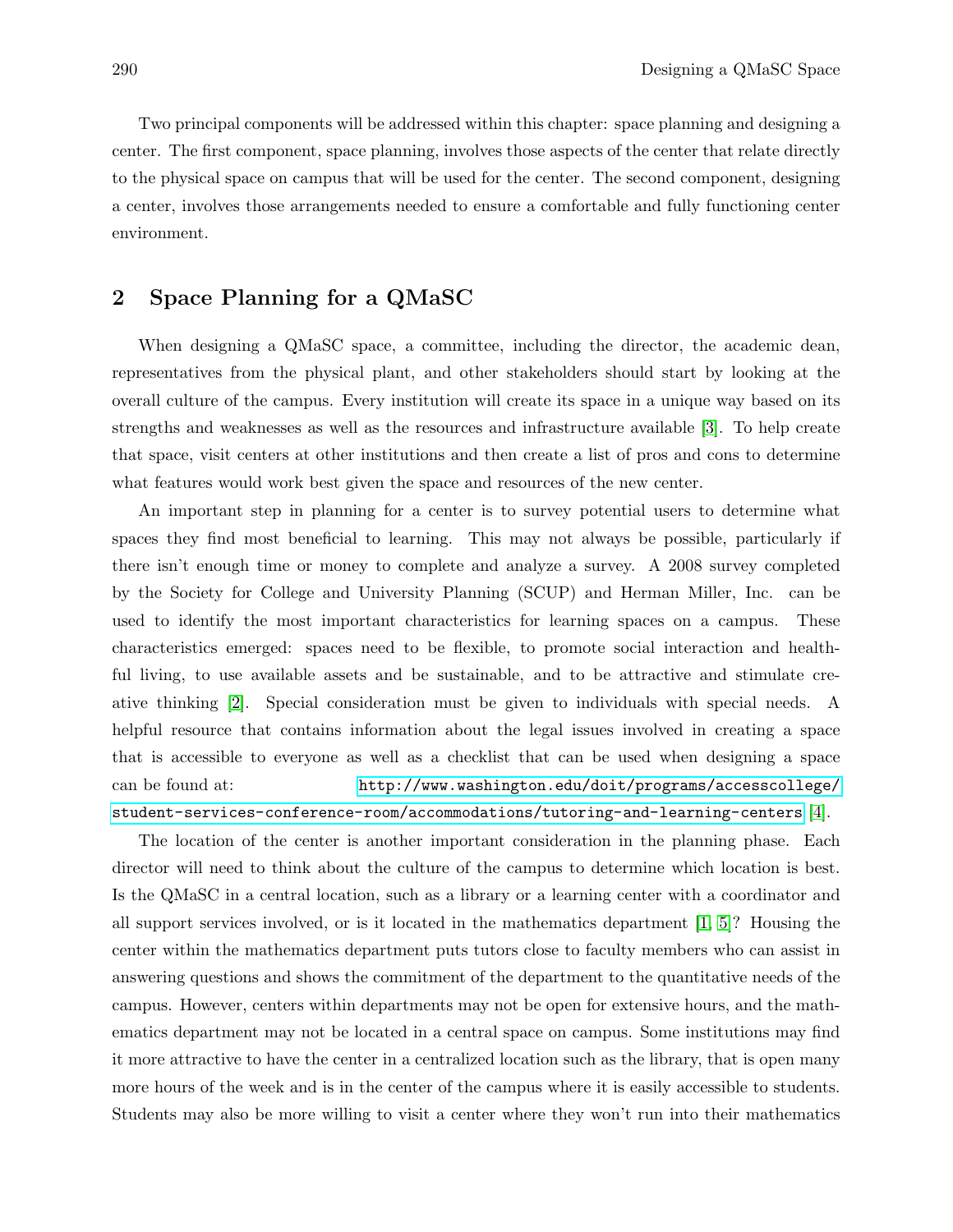Two principal components will be addressed within this chapter: space planning and designing a center. The first component, space planning, involves those aspects of the center that relate directly to the physical space on campus that will be used for the center. The second component, designing a center, involves those arrangements needed to ensure a comfortable and fully functioning center environment.

### 2 Space Planning for a QMaSC

When designing a QMaSC space, a committee, including the director, the academic dean, representatives from the physical plant, and other stakeholders should start by looking at the overall culture of the campus. Every institution will create its space in a unique way based on its strengths and weaknesses as well as the resources and infrastructure available [3]. To help create that space, visit centers at other institutions and then create a list of pros and cons to determine what features would work best given the space and resources of the new center.

An important step in planning for a center is to survey potential users to determine what spaces they find most beneficial to learning. This may not always be possible, particularly if there isn't enough time or money to complete and analyze a survey. A 2008 survey completed by the Society for College and University Planning (SCUP) and Herman Miller, Inc. can be used to identify the most important characteristics for learning spaces on a campus. These characteristics emerged: spaces need to be flexible, to promote social interaction and healthful living, to use available assets and be sustainable, and to be attractive and stimulate creative thinking [2]. Special consideration must be given to individuals with special needs. A helpful resource that contains information about the legal issues involved in creating a space that is accessible to everyone as well as a checklist that can be used when designing a space can be found at: [http://www.washington.edu/doit/programs/accesscollege/](http://www.washington.edu/doit/programs/accesscollege/student-services-conference-room/accommodations/tutoring-and-learning-centers) [student-services-conference-room/accommodations/tutoring-and-learning-centers](http://www.washington.edu/doit/programs/accesscollege/student-services-conference-room/accommodations/tutoring-and-learning-centers) [4].

The location of the center is another important consideration in the planning phase. Each director will need to think about the culture of the campus to determine which location is best. Is the QMaSC in a central location, such as a library or a learning center with a coordinator and all support services involved, or is it located in the mathematics department [1, 5]? Housing the center within the mathematics department puts tutors close to faculty members who can assist in answering questions and shows the commitment of the department to the quantitative needs of the campus. However, centers within departments may not be open for extensive hours, and the mathematics department may not be located in a central space on campus. Some institutions may find it more attractive to have the center in a centralized location such as the library, that is open many more hours of the week and is in the center of the campus where it is easily accessible to students. Students may also be more willing to visit a center where they won't run into their mathematics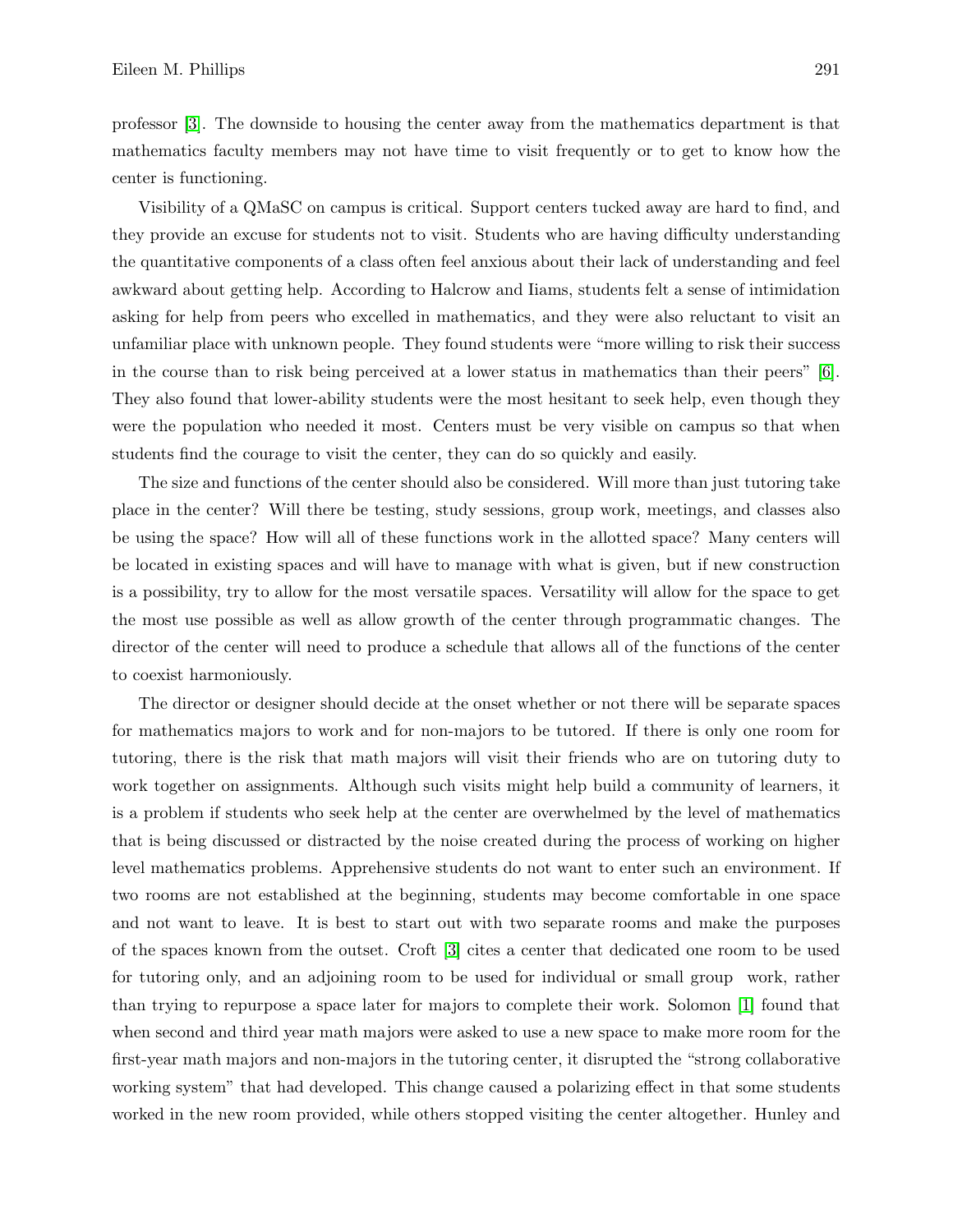professor [3]. The downside to housing the center away from the mathematics department is that mathematics faculty members may not have time to visit frequently or to get to know how the center is functioning.

Visibility of a QMaSC on campus is critical. Support centers tucked away are hard to find, and they provide an excuse for students not to visit. Students who are having difficulty understanding the quantitative components of a class often feel anxious about their lack of understanding and feel awkward about getting help. According to Halcrow and Iiams, students felt a sense of intimidation asking for help from peers who excelled in mathematics, and they were also reluctant to visit an unfamiliar place with unknown people. They found students were "more willing to risk their success in the course than to risk being perceived at a lower status in mathematics than their peers" [6]. They also found that lower-ability students were the most hesitant to seek help, even though they were the population who needed it most. Centers must be very visible on campus so that when students find the courage to visit the center, they can do so quickly and easily.

The size and functions of the center should also be considered. Will more than just tutoring take place in the center? Will there be testing, study sessions, group work, meetings, and classes also be using the space? How will all of these functions work in the allotted space? Many centers will be located in existing spaces and will have to manage with what is given, but if new construction is a possibility, try to allow for the most versatile spaces. Versatility will allow for the space to get the most use possible as well as allow growth of the center through programmatic changes. The director of the center will need to produce a schedule that allows all of the functions of the center to coexist harmoniously.

The director or designer should decide at the onset whether or not there will be separate spaces for mathematics majors to work and for non-majors to be tutored. If there is only one room for tutoring, there is the risk that math majors will visit their friends who are on tutoring duty to work together on assignments. Although such visits might help build a community of learners, it is a problem if students who seek help at the center are overwhelmed by the level of mathematics that is being discussed or distracted by the noise created during the process of working on higher level mathematics problems. Apprehensive students do not want to enter such an environment. If two rooms are not established at the beginning, students may become comfortable in one space and not want to leave. It is best to start out with two separate rooms and make the purposes of the spaces known from the outset. Croft [3] cites a center that dedicated one room to be used for tutoring only, and an adjoining room to be used for individual or small group work, rather than trying to repurpose a space later for majors to complete their work. Solomon [1] found that when second and third year math majors were asked to use a new space to make more room for the first-year math majors and non-majors in the tutoring center, it disrupted the "strong collaborative working system" that had developed. This change caused a polarizing effect in that some students worked in the new room provided, while others stopped visiting the center altogether. Hunley and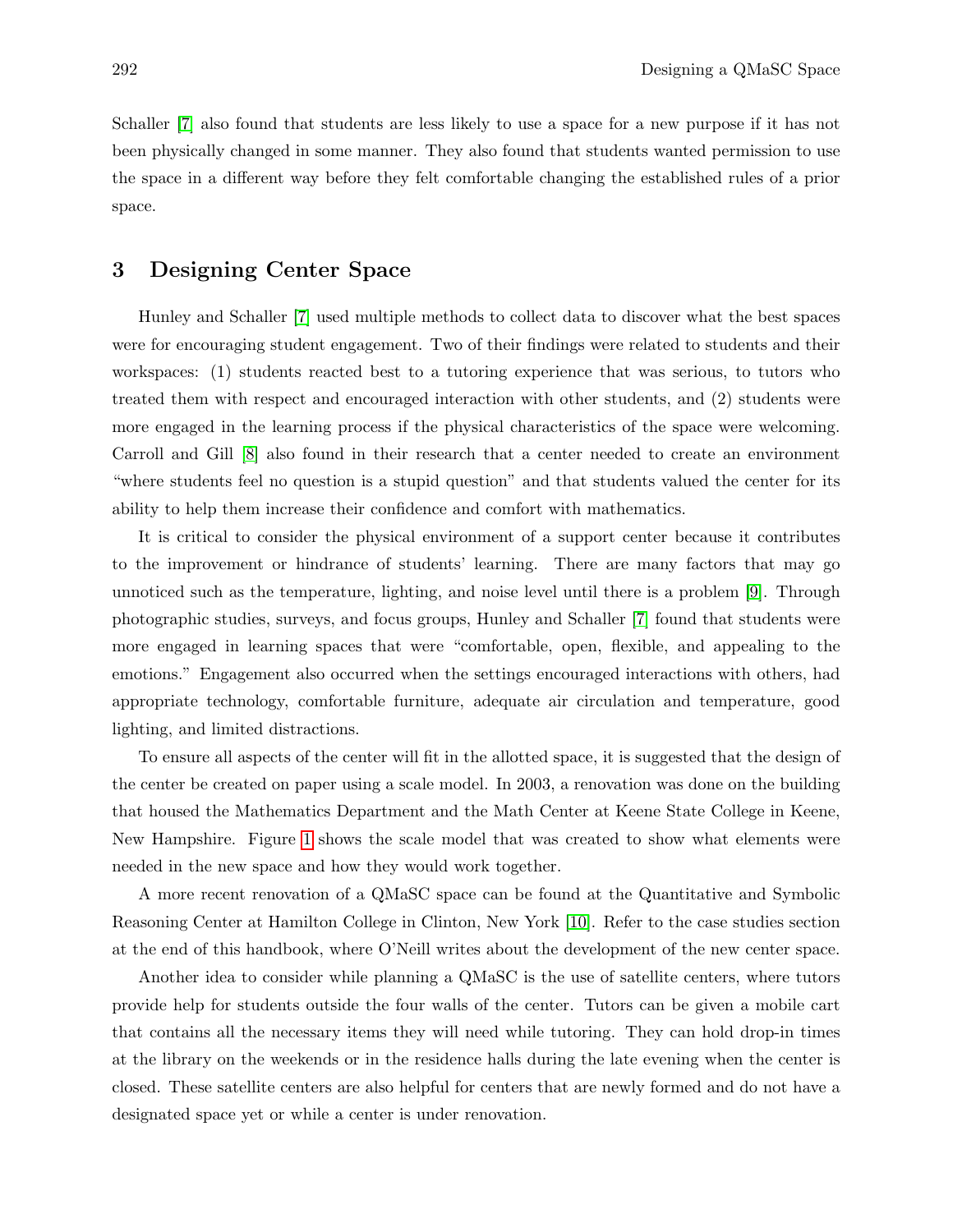Schaller [7] also found that students are less likely to use a space for a new purpose if it has not been physically changed in some manner. They also found that students wanted permission to use the space in a different way before they felt comfortable changing the established rules of a prior space.

#### 3 Designing Center Space

Hunley and Schaller [7] used multiple methods to collect data to discover what the best spaces were for encouraging student engagement. Two of their findings were related to students and their workspaces: (1) students reacted best to a tutoring experience that was serious, to tutors who treated them with respect and encouraged interaction with other students, and (2) students were more engaged in the learning process if the physical characteristics of the space were welcoming. Carroll and Gill [8] also found in their research that a center needed to create an environment "where students feel no question is a stupid question" and that students valued the center for its ability to help them increase their confidence and comfort with mathematics.

It is critical to consider the physical environment of a support center because it contributes to the improvement or hindrance of students' learning. There are many factors that may go unnoticed such as the temperature, lighting, and noise level until there is a problem [9]. Through photographic studies, surveys, and focus groups, Hunley and Schaller [7] found that students were more engaged in learning spaces that were "comfortable, open, flexible, and appealing to the emotions." Engagement also occurred when the settings encouraged interactions with others, had appropriate technology, comfortable furniture, adequate air circulation and temperature, good lighting, and limited distractions.

To ensure all aspects of the center will fit in the allotted space, it is suggested that the design of the center be created on paper using a scale model. In 2003, a renovation was done on the building that housed the Mathematics Department and the Math Center at Keene State College in Keene, New Hampshire. Figure 1 shows the scale model that was created to show what elements were needed in the new space and how they would work together.

A more recent renovation of a QMaSC space can be found at the Quantitative and Symbolic Reasoning Center at Hamilton College in Clinton, New York [10]. Refer to the case studies section at the end of this handbook, where O'Neill writes about the development of the new center space.

Another idea to consider while planning a QMaSC is the use of satellite centers, where tutors provide help for students outside the four walls of the center. Tutors can be given a mobile cart that contains all the necessary items they will need while tutoring. They can hold drop-in times at the library on the weekends or in the residence halls during the late evening when the center is closed. These satellite centers are also helpful for centers that are newly formed and do not have a designated space yet or while a center is under renovation.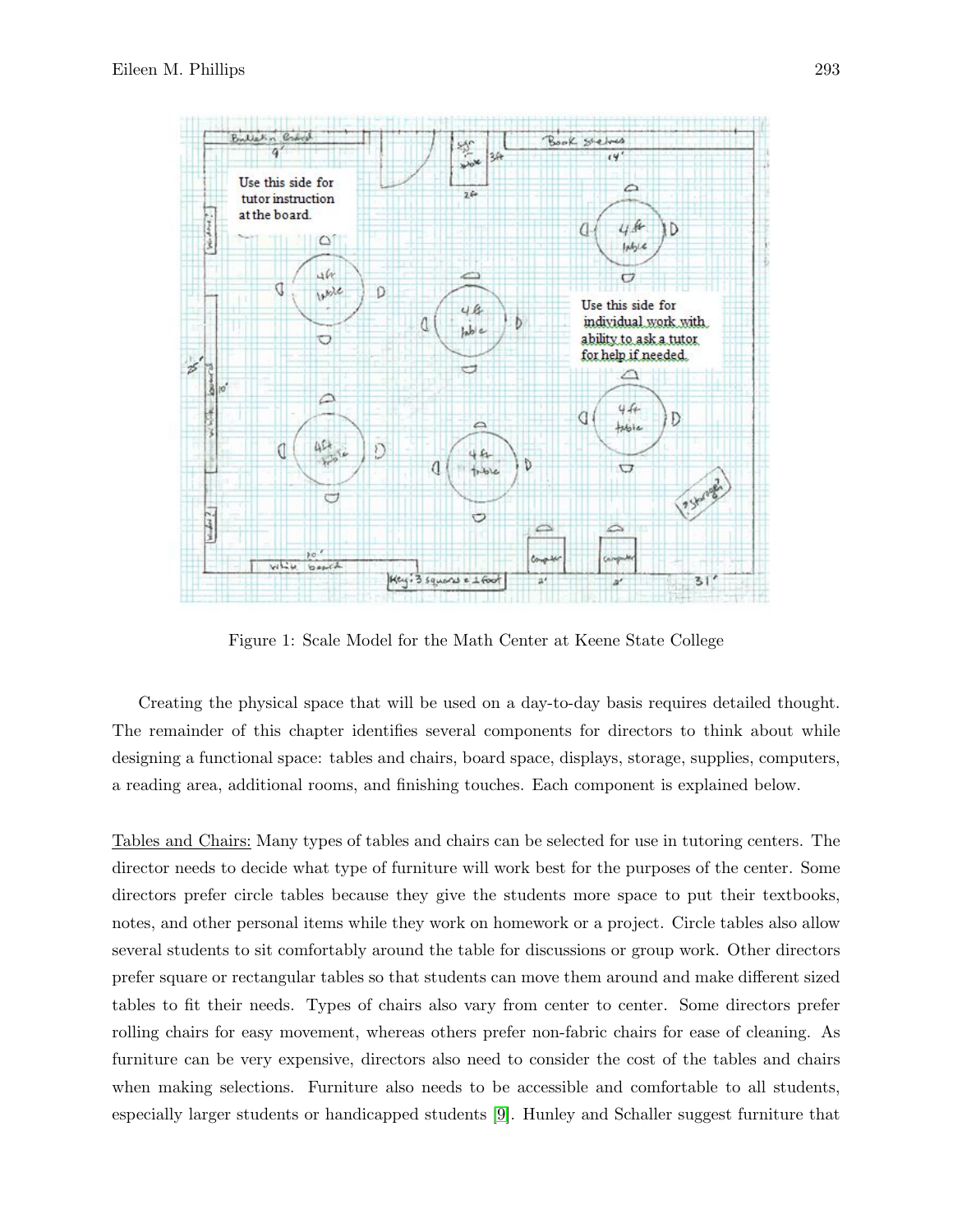

Figure 1: Scale Model for the Math Center at Keene State College

Creating the physical space that will be used on a day-to-day basis requires detailed thought. The remainder of this chapter identifies several components for directors to think about while designing a functional space: tables and chairs, board space, displays, storage, supplies, computers, a reading area, additional rooms, and finishing touches. Each component is explained below.

Tables and Chairs: Many types of tables and chairs can be selected for use in tutoring centers. The director needs to decide what type of furniture will work best for the purposes of the center. Some directors prefer circle tables because they give the students more space to put their textbooks, notes, and other personal items while they work on homework or a project. Circle tables also allow several students to sit comfortably around the table for discussions or group work. Other directors prefer square or rectangular tables so that students can move them around and make different sized tables to fit their needs. Types of chairs also vary from center to center. Some directors prefer rolling chairs for easy movement, whereas others prefer non-fabric chairs for ease of cleaning. As furniture can be very expensive, directors also need to consider the cost of the tables and chairs when making selections. Furniture also needs to be accessible and comfortable to all students, especially larger students or handicapped students [9]. Hunley and Schaller suggest furniture that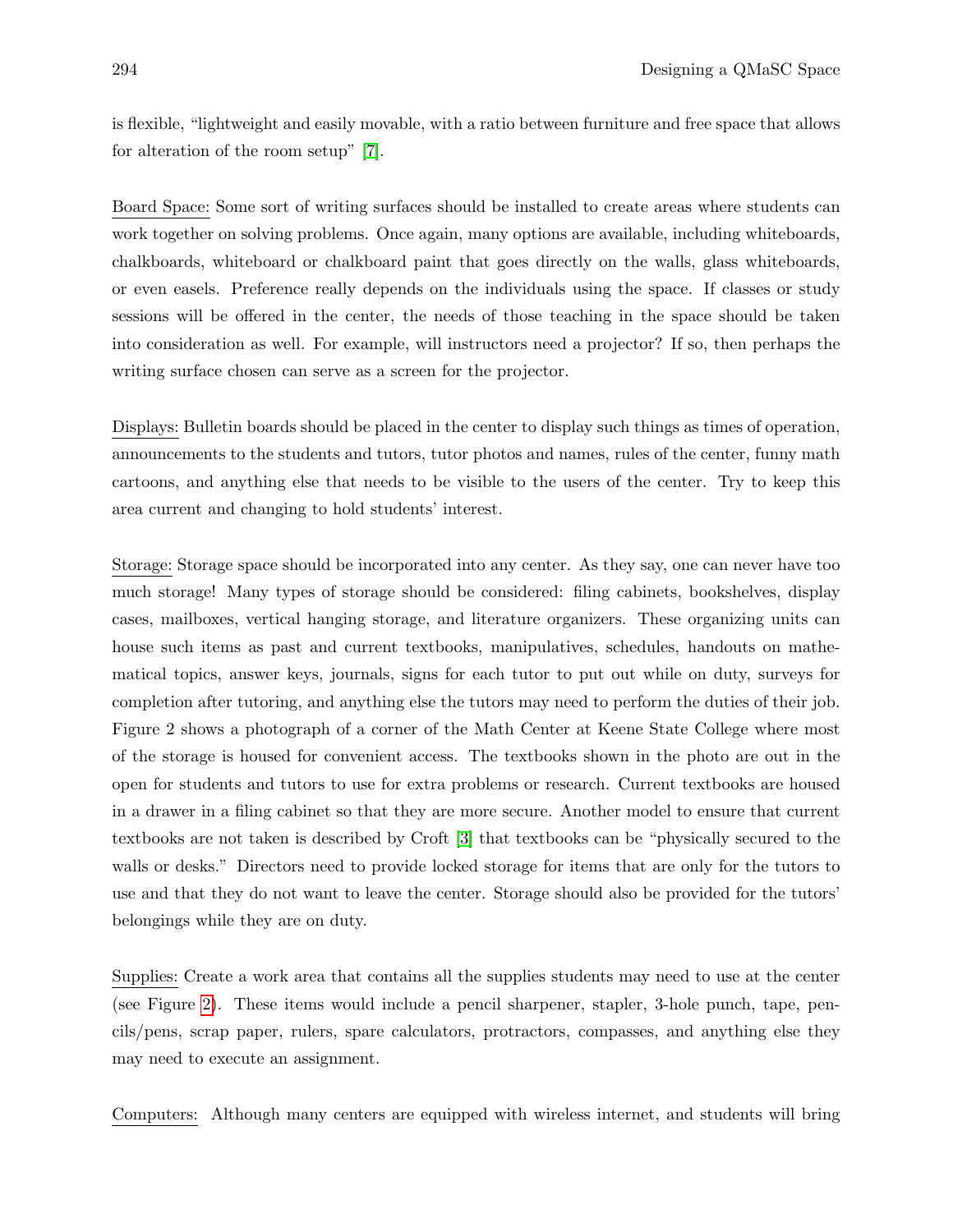is flexible, "lightweight and easily movable, with a ratio between furniture and free space that allows for alteration of the room setup" [7].

Board Space: Some sort of writing surfaces should be installed to create areas where students can work together on solving problems. Once again, many options are available, including whiteboards, chalkboards, whiteboard or chalkboard paint that goes directly on the walls, glass whiteboards, or even easels. Preference really depends on the individuals using the space. If classes or study sessions will be offered in the center, the needs of those teaching in the space should be taken into consideration as well. For example, will instructors need a projector? If so, then perhaps the writing surface chosen can serve as a screen for the projector.

Displays: Bulletin boards should be placed in the center to display such things as times of operation, announcements to the students and tutors, tutor photos and names, rules of the center, funny math cartoons, and anything else that needs to be visible to the users of the center. Try to keep this area current and changing to hold students' interest.

Storage: Storage space should be incorporated into any center. As they say, one can never have too much storage! Many types of storage should be considered: filing cabinets, bookshelves, display cases, mailboxes, vertical hanging storage, and literature organizers. These organizing units can house such items as past and current textbooks, manipulatives, schedules, handouts on mathematical topics, answer keys, journals, signs for each tutor to put out while on duty, surveys for completion after tutoring, and anything else the tutors may need to perform the duties of their job. Figure 2 shows a photograph of a corner of the Math Center at Keene State College where most of the storage is housed for convenient access. The textbooks shown in the photo are out in the open for students and tutors to use for extra problems or research. Current textbooks are housed in a drawer in a filing cabinet so that they are more secure. Another model to ensure that current textbooks are not taken is described by Croft [3] that textbooks can be "physically secured to the walls or desks." Directors need to provide locked storage for items that are only for the tutors to use and that they do not want to leave the center. Storage should also be provided for the tutors' belongings while they are on duty.

Supplies: Create a work area that contains all the supplies students may need to use at the center (see Figure 2). These items would include a pencil sharpener, stapler, 3-hole punch, tape, pencils/pens, scrap paper, rulers, spare calculators, protractors, compasses, and anything else they may need to execute an assignment.

Computers: Although many centers are equipped with wireless internet, and students will bring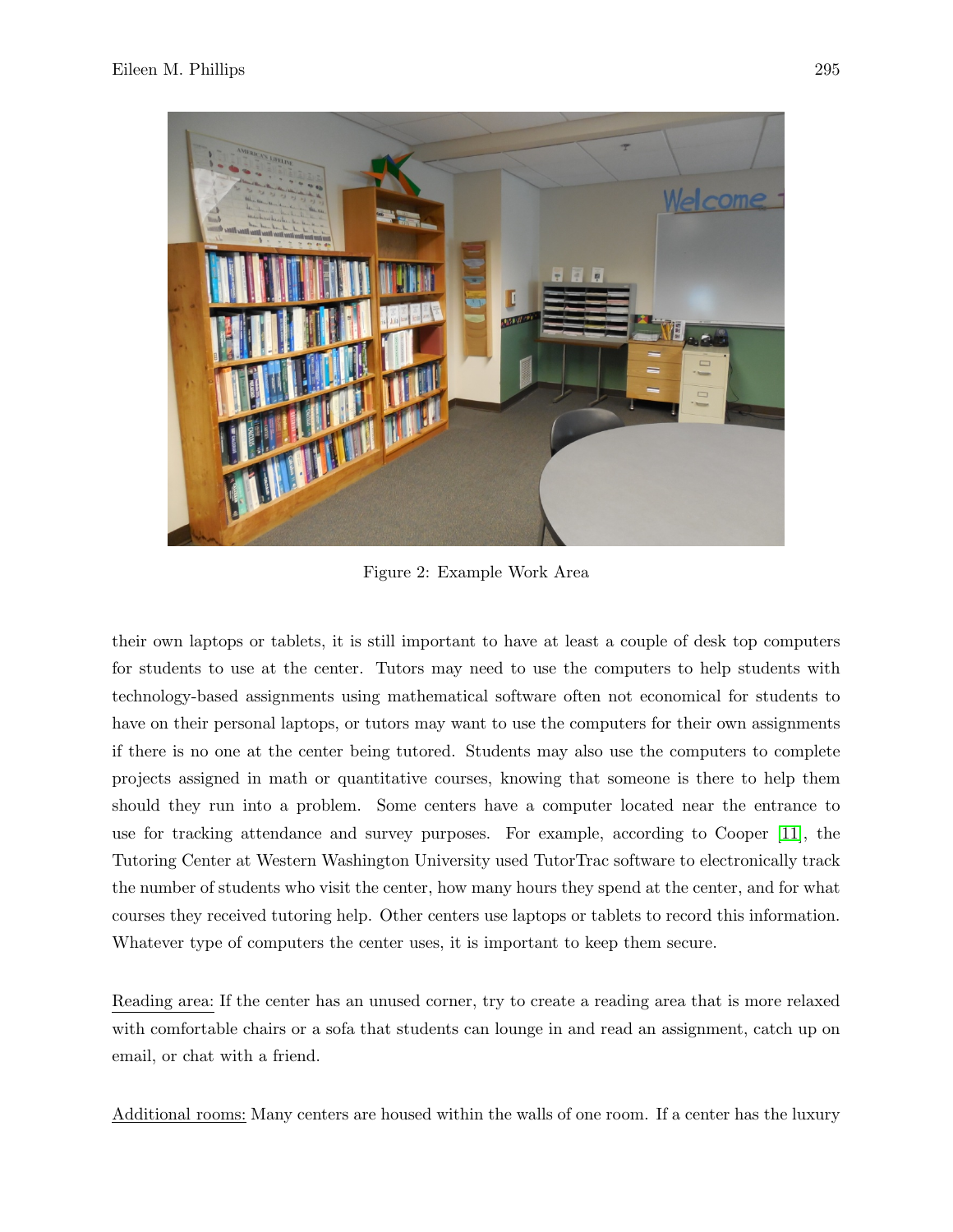

Figure 2: Example Work Area

their own laptops or tablets, it is still important to have at least a couple of desk top computers for students to use at the center. Tutors may need to use the computers to help students with technology-based assignments using mathematical software often not economical for students to have on their personal laptops, or tutors may want to use the computers for their own assignments if there is no one at the center being tutored. Students may also use the computers to complete projects assigned in math or quantitative courses, knowing that someone is there to help them should they run into a problem. Some centers have a computer located near the entrance to use for tracking attendance and survey purposes. For example, according to Cooper [11], the Tutoring Center at Western Washington University used TutorTrac software to electronically track the number of students who visit the center, how many hours they spend at the center, and for what courses they received tutoring help. Other centers use laptops or tablets to record this information. Whatever type of computers the center uses, it is important to keep them secure.

Reading area: If the center has an unused corner, try to create a reading area that is more relaxed with comfortable chairs or a sofa that students can lounge in and read an assignment, catch up on email, or chat with a friend.

Additional rooms: Many centers are housed within the walls of one room. If a center has the luxury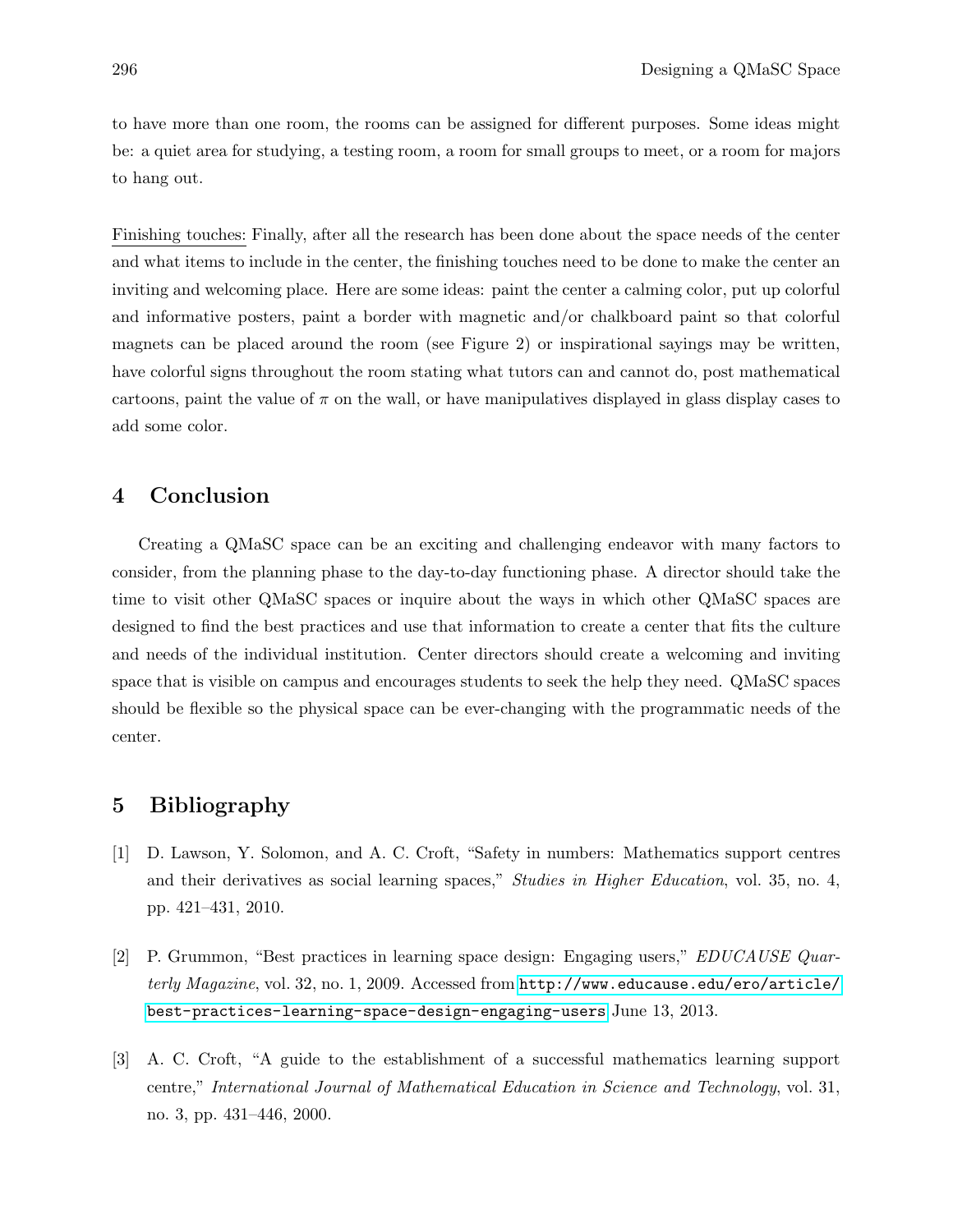to have more than one room, the rooms can be assigned for different purposes. Some ideas might be: a quiet area for studying, a testing room, a room for small groups to meet, or a room for majors to hang out.

Finishing touches: Finally, after all the research has been done about the space needs of the center and what items to include in the center, the finishing touches need to be done to make the center an inviting and welcoming place. Here are some ideas: paint the center a calming color, put up colorful and informative posters, paint a border with magnetic and/or chalkboard paint so that colorful magnets can be placed around the room (see Figure 2) or inspirational sayings may be written, have colorful signs throughout the room stating what tutors can and cannot do, post mathematical cartoons, paint the value of  $\pi$  on the wall, or have manipulatives displayed in glass display cases to add some color.

# 4 Conclusion

Creating a QMaSC space can be an exciting and challenging endeavor with many factors to consider, from the planning phase to the day-to-day functioning phase. A director should take the time to visit other QMaSC spaces or inquire about the ways in which other QMaSC spaces are designed to find the best practices and use that information to create a center that fits the culture and needs of the individual institution. Center directors should create a welcoming and inviting space that is visible on campus and encourages students to seek the help they need. QMaSC spaces should be flexible so the physical space can be ever-changing with the programmatic needs of the center.

#### 5 Bibliography

- [1] D. Lawson, Y. Solomon, and A. C. Croft, "Safety in numbers: Mathematics support centres and their derivatives as social learning spaces," Studies in Higher Education, vol. 35, no. 4, pp. 421–431, 2010.
- [2] P. Grummon, "Best practices in learning space design: Engaging users," EDUCAUSE Quarterly Magazine, vol. 32, no. 1, 2009. Accessed from [http://www.educause.edu/ero/article/](http://www.educause.edu/ero/article/best-practices-learning-space-design-engaging-users) [best-practices-learning-space-design-engaging-users](http://www.educause.edu/ero/article/best-practices-learning-space-design-engaging-users) June 13, 2013.
- [3] A. C. Croft, "A guide to the establishment of a successful mathematics learning support centre," International Journal of Mathematical Education in Science and Technology, vol. 31, no. 3, pp. 431–446, 2000.